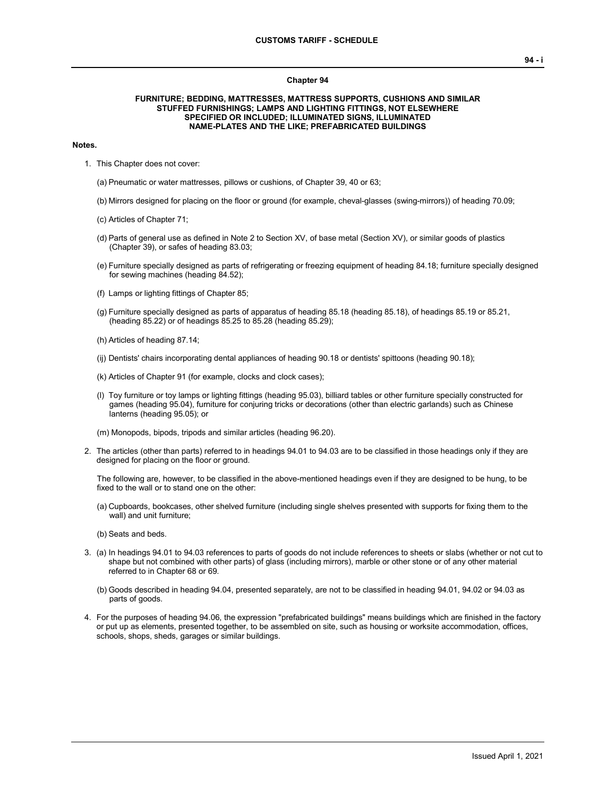#### **Chapter 94**

### **FURNITURE; BEDDING, MATTRESSES, MATTRESS SUPPORTS, CUSHIONS AND SIMILAR STUFFED FURNISHINGS; LAMPS AND LIGHTING FITTINGS, NOT ELSEWHERE SPECIFIED OR INCLUDED; ILLUMINATED SIGNS, ILLUMINATED NAME-PLATES AND THE LIKE; PREFABRICATED BUILDINGS**

#### **Notes.**

1. This Chapter does not cover:

(a) Pneumatic or water mattresses, pillows or cushions, of Chapter 39, 40 or 63;

- (b) Mirrors designed for placing on the floor or ground (for example, cheval-glasses (swing-mirrors)) of heading 70.09;
- (c) Articles of Chapter 71;
- (d) Parts of general use as defined in Note 2 to Section XV, of base metal (Section XV), or similar goods of plastics (Chapter 39), or safes of heading 83.03;
- (e) Furniture specially designed as parts of refrigerating or freezing equipment of heading 84.18; furniture specially designed for sewing machines (heading 84.52);
- (f) Lamps or lighting fittings of Chapter 85;
- (g) Furniture specially designed as parts of apparatus of heading 85.18 (heading 85.18), of headings 85.19 or 85.21, (heading 85.22) or of headings 85.25 to 85.28 (heading 85.29);
- (h) Articles of heading 87.14;
- (ij) Dentists' chairs incorporating dental appliances of heading 90.18 or dentists' spittoons (heading 90.18);
- (k) Articles of Chapter 91 (for example, clocks and clock cases);
- (l) Toy furniture or toy lamps or lighting fittings (heading 95.03), billiard tables or other furniture specially constructed for games (heading 95.04), furniture for conjuring tricks or decorations (other than electric garlands) such as Chinese lanterns (heading 95.05); or

(m) Monopods, bipods, tripods and similar articles (heading 96.20).

2. The articles (other than parts) referred to in headings 94.01 to 94.03 are to be classified in those headings only if they are designed for placing on the floor or ground.

The following are, however, to be classified in the above-mentioned headings even if they are designed to be hung, to be fixed to the wall or to stand one on the other:

- (a) Cupboards, bookcases, other shelved furniture (including single shelves presented with supports for fixing them to the wall) and unit furniture;
- (b) Seats and beds.
- 3. (a) In headings 94.01 to 94.03 references to parts of goods do not include references to sheets or slabs (whether or not cut to shape but not combined with other parts) of glass (including mirrors), marble or other stone or of any other material referred to in Chapter 68 or 69.
	- (b) Goods described in heading 94.04, presented separately, are not to be classified in heading 94.01, 94.02 or 94.03 as parts of goods.
- 4. For the purposes of heading 94.06, the expression "prefabricated buildings" means buildings which are finished in the factory or put up as elements, presented together, to be assembled on site, such as housing or worksite accommodation, offices, schools, shops, sheds, garages or similar buildings.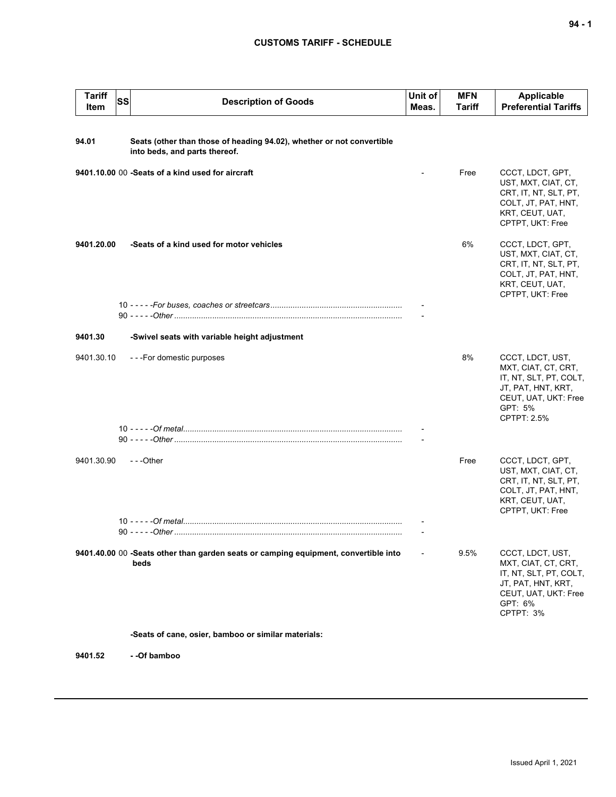| <b>Tariff</b><br><b>SS</b><br>Item | <b>Description of Goods</b>                                                                            | Unit of<br>Meas. | <b>MFN</b><br><b>Tariff</b> | Applicable<br><b>Preferential Tariffs</b>                                                                                                        |
|------------------------------------|--------------------------------------------------------------------------------------------------------|------------------|-----------------------------|--------------------------------------------------------------------------------------------------------------------------------------------------|
| 94.01                              | Seats (other than those of heading 94.02), whether or not convertible<br>into beds, and parts thereof. |                  |                             |                                                                                                                                                  |
|                                    | 9401.10.00 00 -Seats of a kind used for aircraft                                                       |                  | Free                        | CCCT, LDCT, GPT,<br>UST, MXT, CIAT, CT,<br>CRT, IT, NT, SLT, PT,<br>COLT, JT, PAT, HNT,<br>KRT, CEUT, UAT,<br>CPTPT, UKT: Free                   |
| 9401.20.00                         | -Seats of a kind used for motor vehicles                                                               |                  | 6%                          | CCCT, LDCT, GPT,<br>UST, MXT, CIAT, CT,<br>CRT, IT, NT, SLT, PT,<br>COLT, JT, PAT, HNT,<br>KRT, CEUT, UAT,<br>CPTPT, UKT: Free                   |
|                                    |                                                                                                        |                  |                             |                                                                                                                                                  |
| 9401.30                            | -Swivel seats with variable height adjustment                                                          |                  |                             |                                                                                                                                                  |
| 9401.30.10                         | ---For domestic purposes                                                                               |                  | 8%                          | CCCT, LDCT, UST,<br>MXT, CIAT, CT, CRT,<br>IT, NT, SLT, PT, COLT,<br>JT, PAT, HNT, KRT,<br>CEUT, UAT, UKT: Free<br>GPT: 5%<br><b>CPTPT: 2.5%</b> |
|                                    |                                                                                                        |                  |                             |                                                                                                                                                  |
| 9401.30.90                         | ---Other                                                                                               |                  | Free                        | CCCT, LDCT, GPT,<br>UST, MXT, CIAT, CT,<br>CRT, IT, NT, SLT, PT,<br>COLT, JT, PAT, HNT,<br>KRT, CEUT, UAT,<br>CPTPT, UKT: Free                   |
|                                    |                                                                                                        |                  |                             |                                                                                                                                                  |
|                                    | 9401.40.00 00 -Seats other than garden seats or camping equipment, convertible into<br>beds            |                  | 9.5%                        | CCCT, LDCT, UST,<br>MXT, CIAT, CT, CRT,<br>IT, NT, SLT, PT, COLT,<br>JT, PAT, HNT, KRT,<br>CEUT, UAT, UKT: Free<br>GPT: 6%<br>CPTPT: 3%          |
|                                    | -Seats of cane, osier, bamboo or similar materials:                                                    |                  |                             |                                                                                                                                                  |

**9401.52 - -Of bamboo**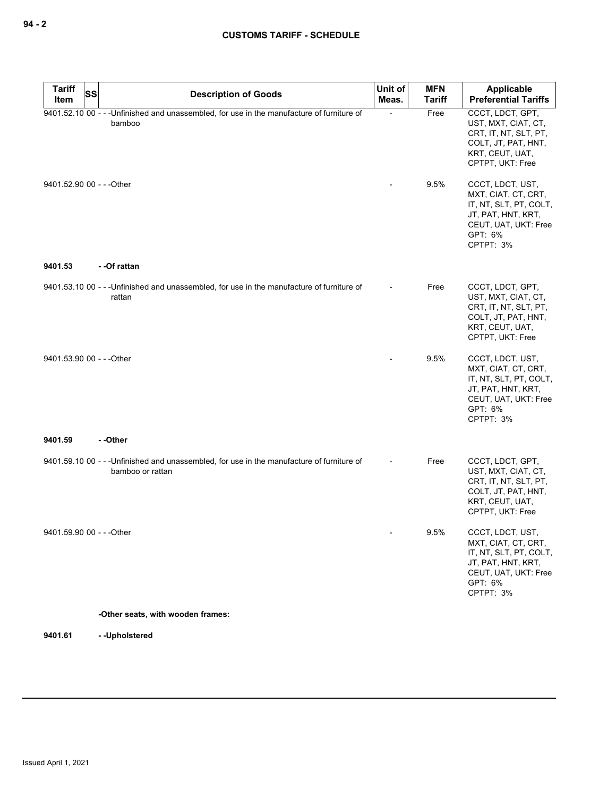| <b>Tariff</b><br>SS<br>Item | <b>Description of Goods</b>                                                                                    | Unit of<br>Meas. | <b>MFN</b><br>Tariff | Applicable<br><b>Preferential Tariffs</b>                                                                                               |
|-----------------------------|----------------------------------------------------------------------------------------------------------------|------------------|----------------------|-----------------------------------------------------------------------------------------------------------------------------------------|
|                             | 9401.52.10 00 - - - Unfinished and unassembled, for use in the manufacture of furniture of<br>bamboo           |                  | Free                 | CCCT, LDCT, GPT,<br>UST, MXT, CIAT, CT,<br>CRT, IT, NT, SLT, PT,<br>COLT, JT, PAT, HNT,<br>KRT, CEUT, UAT,<br>CPTPT, UKT: Free          |
| 9401.52.90 00 - - - Other   |                                                                                                                |                  | 9.5%                 | CCCT, LDCT, UST,<br>MXT, CIAT, CT, CRT,<br>IT, NT, SLT, PT, COLT,<br>JT, PAT, HNT, KRT,<br>CEUT, UAT, UKT: Free<br>GPT: 6%<br>CPTPT: 3% |
| 9401.53                     | - -Of rattan                                                                                                   |                  |                      |                                                                                                                                         |
|                             | 9401.53.10 00 - - - Unfinished and unassembled, for use in the manufacture of furniture of<br>rattan           |                  | Free                 | CCCT, LDCT, GPT,<br>UST, MXT, CIAT, CT,<br>CRT, IT, NT, SLT, PT,<br>COLT, JT, PAT, HNT,<br>KRT, CEUT, UAT,<br>CPTPT, UKT: Free          |
| 9401.53.90 00 - - - Other   |                                                                                                                |                  | 9.5%                 | CCCT, LDCT, UST,<br>MXT, CIAT, CT, CRT,<br>IT, NT, SLT, PT, COLT,<br>JT, PAT, HNT, KRT,<br>CEUT, UAT, UKT: Free<br>GPT: 6%<br>CPTPT: 3% |
| 9401.59                     | --Other                                                                                                        |                  |                      |                                                                                                                                         |
|                             | 9401.59.10 00 - - - Unfinished and unassembled, for use in the manufacture of furniture of<br>bamboo or rattan |                  | Free                 | CCCT, LDCT, GPT,<br>UST, MXT, CIAT, CT,<br>CRT, IT, NT, SLT, PT,<br>COLT, JT, PAT, HNT,<br>KRT, CEUT, UAT,<br>CPTPT, UKT: Free          |
| 9401.59.90 00 - - - Other   |                                                                                                                |                  | 9.5%                 | CCCT, LDCT, UST,<br>MXT, CIAT, CT, CRT,<br>IT, NT, SLT, PT, COLT,<br>JT, PAT, HNT, KRT,<br>CEUT, UAT, UKT: Free<br>GPT: 6%<br>CPTPT: 3% |
|                             | -Other seats, with wooden frames:                                                                              |                  |                      |                                                                                                                                         |

**9401.61 - -Upholstered**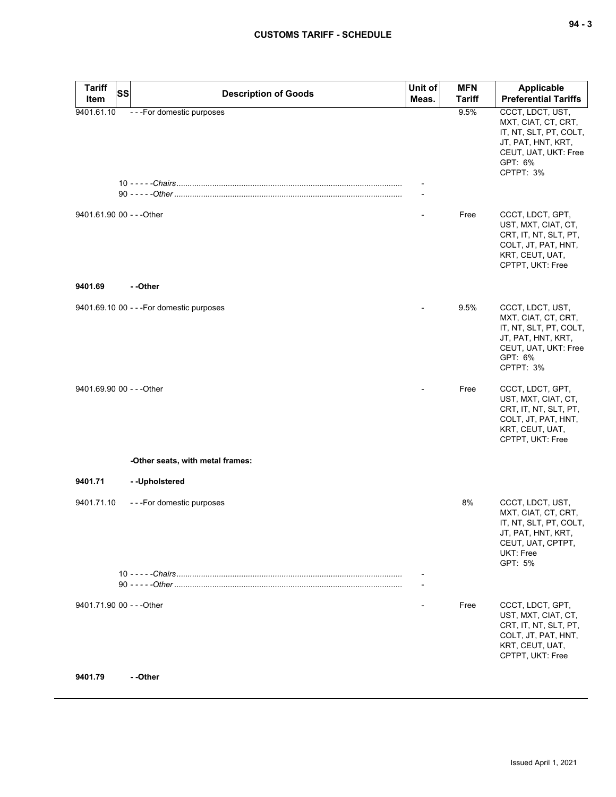| <b>Tariff</b><br><b>SS</b><br>Item | <b>Description of Goods</b>               | Unit of<br>Meas.         | <b>MFN</b><br><b>Tariff</b> | Applicable<br><b>Preferential Tariffs</b>                                                                                               |
|------------------------------------|-------------------------------------------|--------------------------|-----------------------------|-----------------------------------------------------------------------------------------------------------------------------------------|
| 9401.61.10                         | - - - For domestic purposes               |                          | 9.5%                        | CCCT, LDCT, UST,                                                                                                                        |
|                                    |                                           |                          |                             | MXT, CIAT, CT, CRT,<br>IT, NT, SLT, PT, COLT,<br>JT, PAT, HNT, KRT,<br>CEUT, UAT, UKT: Free<br>GPT: 6%<br>CPTPT: 3%                     |
|                                    |                                           |                          |                             |                                                                                                                                         |
| 9401.61.90 00 - - - Other          |                                           |                          | Free                        | CCCT, LDCT, GPT,<br>UST, MXT, CIAT, CT,<br>CRT, IT, NT, SLT, PT,<br>COLT, JT, PAT, HNT,<br>KRT, CEUT, UAT,<br>CPTPT, UKT: Free          |
| 9401.69                            | - -Other                                  |                          |                             |                                                                                                                                         |
|                                    | 9401.69.10 00 - - - For domestic purposes |                          | 9.5%                        | CCCT, LDCT, UST,<br>MXT, CIAT, CT, CRT,<br>IT, NT, SLT, PT, COLT,<br>JT, PAT, HNT, KRT,<br>CEUT, UAT, UKT: Free<br>GPT: 6%<br>CPTPT: 3% |
| 9401.69.90 00 - - - Other          |                                           |                          | Free                        | CCCT, LDCT, GPT,<br>UST, MXT, CIAT, CT,<br>CRT, IT, NT, SLT, PT,<br>COLT, JT, PAT, HNT,<br>KRT, CEUT, UAT,<br>CPTPT, UKT: Free          |
|                                    | -Other seats, with metal frames:          |                          |                             |                                                                                                                                         |
| 9401.71                            | -- Upholstered                            |                          |                             |                                                                                                                                         |
| 9401.71.10                         | ---For domestic purposes                  |                          | 8%                          | CCCT, LDCT, UST,<br>MXT, CIAT, CT, CRT,<br>IT, NT, SLT, PT, COLT,<br>JT, PAT, HNT, KRT,<br>CEUT, UAT, CPTPT,<br>UKT: Free<br>GPT: 5%    |
|                                    |                                           | $\overline{\phantom{a}}$ |                             |                                                                                                                                         |
| 9401.71.90 00 - - - Other          |                                           |                          | Free                        | CCCT, LDCT, GPT,<br>UST, MXT, CIAT, CT,<br>CRT, IT, NT, SLT, PT,<br>COLT, JT, PAT, HNT,<br>KRT, CEUT, UAT,<br>CPTPT, UKT: Free          |
| 9401.79                            | - -Other                                  |                          |                             |                                                                                                                                         |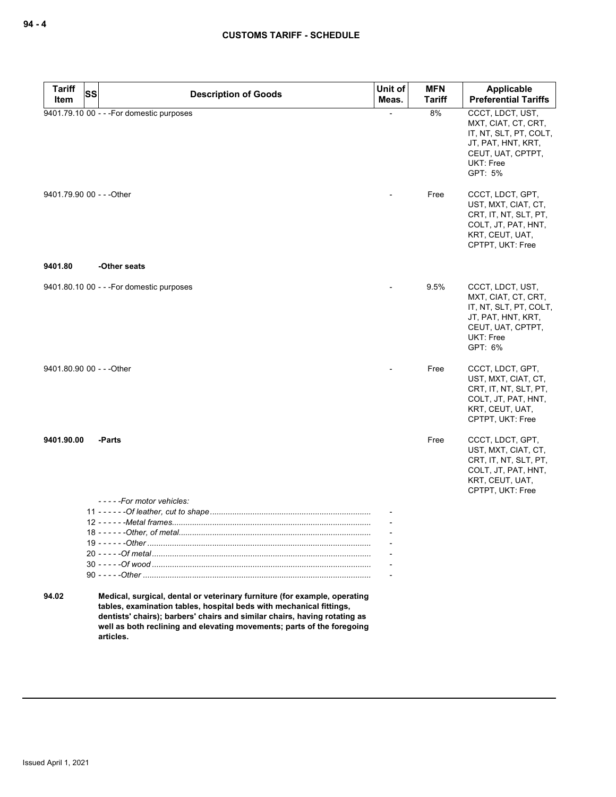| <b>Tariff</b><br>SS | <b>Description of Goods</b>                                                                                                                                                                                                                                                                                          | Unit of | <b>MFN</b>    | Applicable                                                                                                                           |
|---------------------|----------------------------------------------------------------------------------------------------------------------------------------------------------------------------------------------------------------------------------------------------------------------------------------------------------------------|---------|---------------|--------------------------------------------------------------------------------------------------------------------------------------|
| Item                |                                                                                                                                                                                                                                                                                                                      | Meas.   | <b>Tariff</b> | <b>Preferential Tariffs</b>                                                                                                          |
|                     | 9401.79.10 00 - - - For domestic purposes                                                                                                                                                                                                                                                                            |         | 8%            | CCCT, LDCT, UST,<br>MXT, CIAT, CT, CRT,<br>IT, NT, SLT, PT, COLT,<br>JT, PAT, HNT, KRT,<br>CEUT, UAT, CPTPT,<br>UKT: Free<br>GPT: 5% |
|                     | 9401.79.90 00 - - - Other                                                                                                                                                                                                                                                                                            |         | Free          | CCCT, LDCT, GPT,<br>UST, MXT, CIAT, CT,<br>CRT, IT, NT, SLT, PT,<br>COLT, JT, PAT, HNT,<br>KRT, CEUT, UAT,<br>CPTPT, UKT: Free       |
| 9401.80             | -Other seats                                                                                                                                                                                                                                                                                                         |         |               |                                                                                                                                      |
|                     | 9401.80.10 00 - - - For domestic purposes                                                                                                                                                                                                                                                                            |         | 9.5%          | CCCT, LDCT, UST,<br>MXT, CIAT, CT, CRT,<br>IT, NT, SLT, PT, COLT,<br>JT, PAT, HNT, KRT,<br>CEUT, UAT, CPTPT,<br>UKT: Free<br>GPT: 6% |
|                     | 9401.80.90 00 - - - Other                                                                                                                                                                                                                                                                                            |         | Free          | CCCT, LDCT, GPT,<br>UST, MXT, CIAT, CT,<br>CRT, IT, NT, SLT, PT,<br>COLT, JT, PAT, HNT,<br>KRT, CEUT, UAT,<br>CPTPT, UKT: Free       |
| 9401.90.00          | -Parts                                                                                                                                                                                                                                                                                                               |         | Free          | CCCT, LDCT, GPT,<br>UST, MXT, CIAT, CT,<br>CRT, IT, NT, SLT, PT,<br>COLT, JT, PAT, HNT,<br>KRT, CEUT, UAT,<br>CPTPT, UKT: Free       |
|                     | -----For motor vehicles:                                                                                                                                                                                                                                                                                             |         |               |                                                                                                                                      |
|                     |                                                                                                                                                                                                                                                                                                                      |         |               |                                                                                                                                      |
|                     | $18 - - - -$ - Other, of metal.                                                                                                                                                                                                                                                                                      |         |               |                                                                                                                                      |
|                     |                                                                                                                                                                                                                                                                                                                      |         |               |                                                                                                                                      |
|                     |                                                                                                                                                                                                                                                                                                                      |         |               |                                                                                                                                      |
|                     |                                                                                                                                                                                                                                                                                                                      |         |               |                                                                                                                                      |
|                     |                                                                                                                                                                                                                                                                                                                      |         |               |                                                                                                                                      |
| 94.02               | Medical, surgical, dental or veterinary furniture (for example, operating<br>tables, examination tables, hospital beds with mechanical fittings,<br>dentists' chairs); barbers' chairs and similar chairs, having rotating as<br>well as both reclining and elevating movements; parts of the foregoing<br>articles. |         |               |                                                                                                                                      |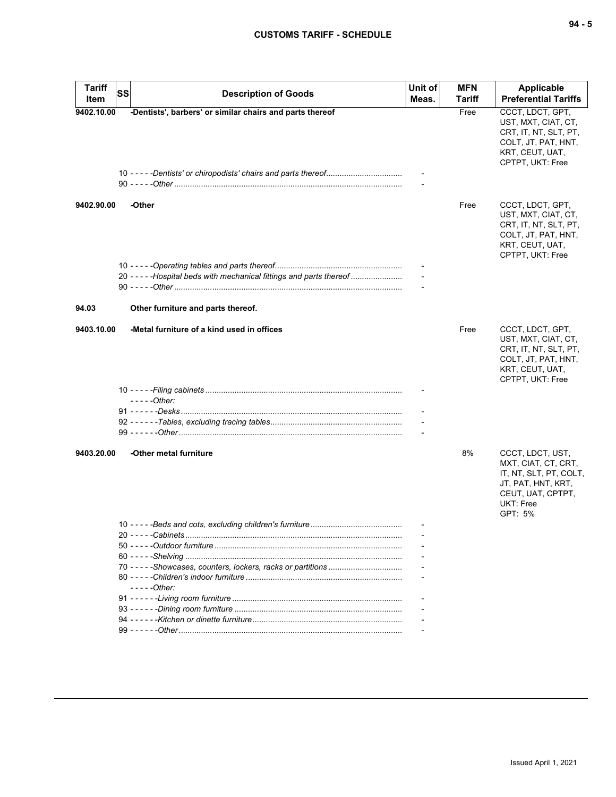| ۰.<br>× |  | ×<br>۰. |
|---------|--|---------|
|---------|--|---------|

| <b>Tariff</b><br>Item | <b>SS</b> | <b>Description of Goods</b>                                           | Unit of<br>Meas. | MFN<br>Tariff | <b>Applicable</b><br><b>Preferential Tariffs</b>                                                                                     |
|-----------------------|-----------|-----------------------------------------------------------------------|------------------|---------------|--------------------------------------------------------------------------------------------------------------------------------------|
| 9402.10.00            |           | -Dentists', barbers' or similar chairs and parts thereof              |                  | Free          | CCCT, LDCT, GPT,<br>UST, MXT, CIAT, CT,<br>CRT, IT, NT, SLT, PT,<br>COLT, JT, PAT, HNT,<br>KRT, CEUT, UAT,<br>CPTPT, UKT: Free       |
|                       |           |                                                                       |                  |               |                                                                                                                                      |
| 9402.90.00            |           | -Other                                                                |                  | Free          | CCCT, LDCT, GPT,<br>UST, MXT, CIAT, CT,<br>CRT, IT, NT, SLT, PT,<br>COLT, JT, PAT, HNT,<br>KRT, CEUT, UAT,<br>CPTPT, UKT: Free       |
|                       |           |                                                                       |                  |               |                                                                                                                                      |
|                       |           | 20 - - - - - Hospital beds with mechanical fittings and parts thereof |                  |               |                                                                                                                                      |
|                       |           |                                                                       |                  |               |                                                                                                                                      |
| 94.03                 |           | Other furniture and parts thereof.                                    |                  |               |                                                                                                                                      |
| 9403.10.00            |           | -Metal furniture of a kind used in offices                            |                  | Free          | CCCT, LDCT, GPT,<br>UST, MXT, CIAT, CT,<br>CRT, IT, NT, SLT, PT,<br>COLT, JT, PAT, HNT,<br>KRT, CEUT, UAT,<br>CPTPT, UKT: Free       |
|                       |           |                                                                       |                  |               |                                                                                                                                      |
|                       |           | $---Other:$                                                           |                  |               |                                                                                                                                      |
|                       |           |                                                                       |                  |               |                                                                                                                                      |
|                       |           |                                                                       |                  |               |                                                                                                                                      |
|                       |           |                                                                       |                  |               |                                                                                                                                      |
| 9403.20.00            |           | -Other metal furniture                                                |                  | 8%            | CCCT, LDCT, UST,<br>MXT, CIAT, CT, CRT,<br>IT, NT, SLT, PT, COLT,<br>JT, PAT, HNT, KRT,<br>CEUT, UAT, CPTPT,<br>UKT: Free<br>GPT: 5% |
|                       |           |                                                                       |                  |               |                                                                                                                                      |
|                       |           |                                                                       |                  |               |                                                                                                                                      |
|                       |           |                                                                       |                  |               |                                                                                                                                      |
|                       |           |                                                                       |                  |               |                                                                                                                                      |
|                       |           |                                                                       |                  |               |                                                                                                                                      |
|                       |           | $---Other:$                                                           |                  |               |                                                                                                                                      |
|                       |           |                                                                       |                  |               |                                                                                                                                      |
|                       |           |                                                                       |                  |               |                                                                                                                                      |
|                       |           |                                                                       |                  |               |                                                                                                                                      |
|                       |           |                                                                       |                  |               |                                                                                                                                      |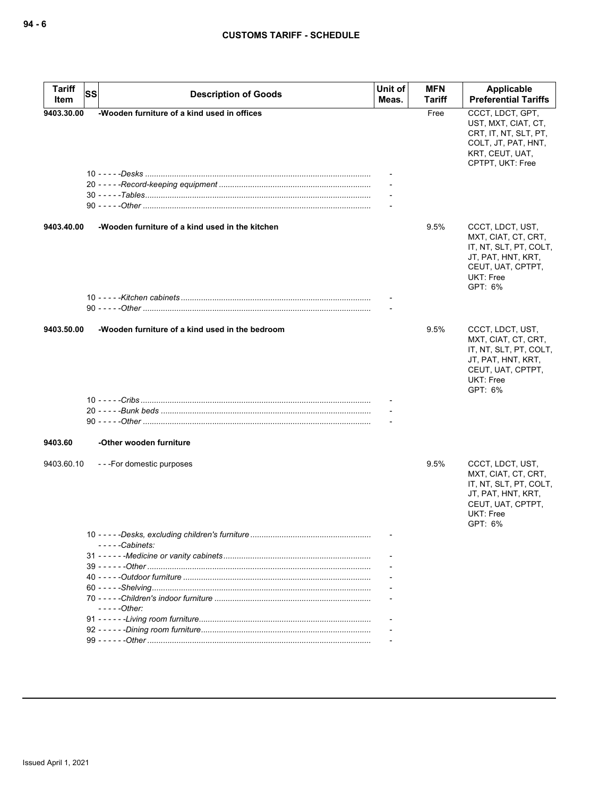| <b>Tariff</b><br>Item | SS | <b>Description of Goods</b>                     | Unit of<br>Meas. | <b>MFN</b><br>Tariff | Applicable<br><b>Preferential Tariffs</b>                                                                                            |
|-----------------------|----|-------------------------------------------------|------------------|----------------------|--------------------------------------------------------------------------------------------------------------------------------------|
| 9403.30.00            |    | -Wooden furniture of a kind used in offices     |                  | Free                 | CCCT, LDCT, GPT,<br>UST, MXT, CIAT, CT,<br>CRT, IT, NT, SLT, PT,<br>COLT, JT, PAT, HNT,<br>KRT, CEUT, UAT,<br>CPTPT, UKT: Free       |
|                       |    |                                                 |                  |                      |                                                                                                                                      |
| 9403.40.00            |    | -Wooden furniture of a kind used in the kitchen |                  | 9.5%                 | CCCT, LDCT, UST,<br>MXT, CIAT, CT, CRT,<br>IT, NT, SLT, PT, COLT,<br>JT, PAT, HNT, KRT,<br>CEUT, UAT, CPTPT,<br>UKT: Free<br>GPT: 6% |
|                       |    |                                                 |                  |                      |                                                                                                                                      |
| 9403.50.00            |    | -Wooden furniture of a kind used in the bedroom |                  | 9.5%                 | CCCT, LDCT, UST,<br>MXT, CIAT, CT, CRT,<br>IT, NT, SLT, PT, COLT,<br>JT, PAT, HNT, KRT,<br>CEUT, UAT, CPTPT,<br>UKT: Free<br>GPT: 6% |
|                       |    |                                                 |                  |                      |                                                                                                                                      |
|                       |    |                                                 |                  |                      |                                                                                                                                      |
| 9403.60               |    | -Other wooden furniture                         |                  |                      |                                                                                                                                      |
| 9403.60.10            |    | ---For domestic purposes                        |                  | 9.5%                 | CCCT, LDCT, UST,<br>MXT, CIAT, CT, CRT,<br>IT, NT, SLT, PT, COLT,<br>JT, PAT, HNT, KRT,<br>CEUT, UAT, CPTPT,<br>UKT: Free<br>GPT: 6% |
|                       |    | - - - - -Cabinets:                              |                  |                      |                                                                                                                                      |
|                       |    |                                                 |                  |                      |                                                                                                                                      |
|                       |    |                                                 |                  |                      |                                                                                                                                      |
|                       |    |                                                 |                  |                      |                                                                                                                                      |
|                       |    | - - - - - Other:                                |                  |                      |                                                                                                                                      |
|                       |    |                                                 |                  |                      |                                                                                                                                      |
|                       |    |                                                 |                  |                      |                                                                                                                                      |
|                       |    |                                                 |                  |                      |                                                                                                                                      |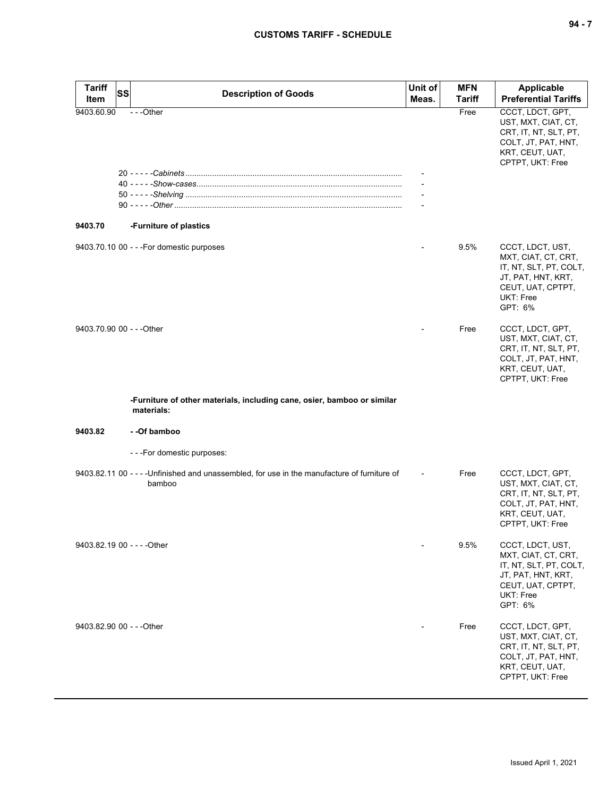| Tariff<br>Item              | SS | <b>Description of Goods</b>                                                                            | Unit of<br>Meas. | <b>MFN</b><br><b>Tariff</b> | <b>Applicable</b><br><b>Preferential Tariffs</b>                                                                                     |
|-----------------------------|----|--------------------------------------------------------------------------------------------------------|------------------|-----------------------------|--------------------------------------------------------------------------------------------------------------------------------------|
| 9403.60.90                  |    | ---Other                                                                                               |                  | Free                        | CCCT, LDCT, GPT,<br>UST, MXT, CIAT, CT,<br>CRT, IT, NT, SLT, PT,<br>COLT, JT, PAT, HNT,<br>KRT, CEUT, UAT,<br>CPTPT, UKT: Free       |
|                             |    |                                                                                                        |                  |                             |                                                                                                                                      |
|                             |    |                                                                                                        |                  |                             |                                                                                                                                      |
|                             |    |                                                                                                        |                  |                             |                                                                                                                                      |
|                             |    |                                                                                                        |                  |                             |                                                                                                                                      |
| 9403.70                     |    | -Furniture of plastics                                                                                 |                  |                             |                                                                                                                                      |
|                             |    | 9403.70.10 00 - - - For domestic purposes                                                              |                  | 9.5%                        | CCCT, LDCT, UST,<br>MXT, CIAT, CT, CRT,<br>IT, NT, SLT, PT, COLT,<br>JT, PAT, HNT, KRT,<br>CEUT, UAT, CPTPT,<br>UKT: Free<br>GPT: 6% |
| 9403.70.90 00 - - - Other   |    |                                                                                                        |                  | Free                        | CCCT, LDCT, GPT,<br>UST, MXT, CIAT, CT,<br>CRT, IT, NT, SLT, PT,<br>COLT, JT, PAT, HNT,<br>KRT, CEUT, UAT,<br>CPTPT, UKT: Free       |
|                             |    | -Furniture of other materials, including cane, osier, bamboo or similar<br>materials:                  |                  |                             |                                                                                                                                      |
| 9403.82                     |    | - -Of bamboo                                                                                           |                  |                             |                                                                                                                                      |
|                             |    | - - - For domestic purposes:                                                                           |                  |                             |                                                                                                                                      |
|                             |    | 9403.82.11 00 - - - - Unfinished and unassembled, for use in the manufacture of furniture of<br>bamboo |                  | Free                        | CCCT, LDCT, GPT,<br>UST, MXT, CIAT, CT,<br>CRT, IT, NT, SLT, PT,<br>COLT, JT, PAT, HNT,<br>KRT, CEUT, UAT,<br>CPTPT, UKT: Free       |
| 9403.82.19 00 - - - - Other |    |                                                                                                        |                  | 9.5%                        | CCCT, LDCT, UST,<br>MXT, CIAT, CT, CRT,<br>IT, NT, SLT, PT, COLT,<br>JT, PAT, HNT, KRT,<br>CEUT, UAT, CPTPT,<br>UKT: Free<br>GPT: 6% |
| 9403.82.90 00 - - - Other   |    |                                                                                                        |                  | Free                        | CCCT, LDCT, GPT,<br>UST, MXT, CIAT, CT,<br>CRT, IT, NT, SLT, PT,<br>COLT, JT, PAT, HNT,<br>KRT, CEUT, UAT,<br>CPTPT, UKT: Free       |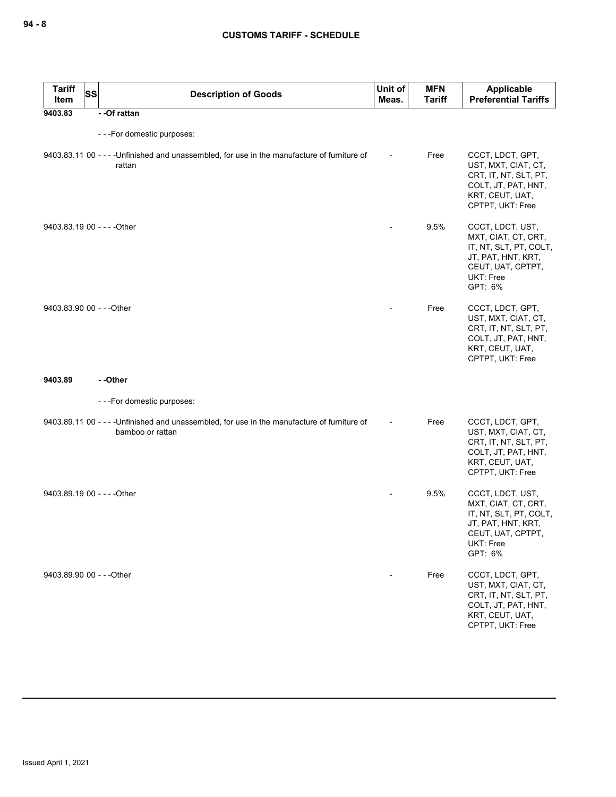| <b>Tariff</b><br>Item       | <b>SS</b> | <b>Description of Goods</b>                                                                                      | Unit of<br>Meas.         | <b>MFN</b><br><b>Tariff</b> | Applicable<br><b>Preferential Tariffs</b>                                                                                            |
|-----------------------------|-----------|------------------------------------------------------------------------------------------------------------------|--------------------------|-----------------------------|--------------------------------------------------------------------------------------------------------------------------------------|
| 9403.83                     |           | - - Of rattan                                                                                                    |                          |                             |                                                                                                                                      |
|                             |           | ---For domestic purposes:                                                                                        |                          |                             |                                                                                                                                      |
|                             |           | 9403.83.11 00 - - - - Unfinished and unassembled, for use in the manufacture of furniture of<br>rattan           | $\overline{\phantom{a}}$ | Free                        | CCCT, LDCT, GPT,<br>UST, MXT, CIAT, CT,<br>CRT, IT, NT, SLT, PT,<br>COLT, JT, PAT, HNT,<br>KRT, CEUT, UAT,<br>CPTPT, UKT: Free       |
| 9403.83.19 00 - - - - Other |           |                                                                                                                  |                          | 9.5%                        | CCCT, LDCT, UST,<br>MXT, CIAT, CT, CRT,<br>IT, NT, SLT, PT, COLT,<br>JT, PAT, HNT, KRT,<br>CEUT, UAT, CPTPT,<br>UKT: Free<br>GPT: 6% |
| 9403.83.90 00 - - - Other   |           |                                                                                                                  |                          | Free                        | CCCT, LDCT, GPT,<br>UST, MXT, CIAT, CT,<br>CRT, IT, NT, SLT, PT,<br>COLT, JT, PAT, HNT,<br>KRT, CEUT, UAT,<br>CPTPT, UKT: Free       |
| 9403.89                     |           | - -Other                                                                                                         |                          |                             |                                                                                                                                      |
|                             |           | ---For domestic purposes:                                                                                        |                          |                             |                                                                                                                                      |
|                             |           | 9403.89.11 00 - - - - Unfinished and unassembled, for use in the manufacture of furniture of<br>bamboo or rattan |                          | Free                        | CCCT, LDCT, GPT,<br>UST, MXT, CIAT, CT,<br>CRT, IT, NT, SLT, PT,<br>COLT, JT, PAT, HNT,<br>KRT, CEUT, UAT,<br>CPTPT, UKT: Free       |
| 9403.89.19 00 - - - - Other |           |                                                                                                                  |                          | 9.5%                        | CCCT, LDCT, UST,<br>MXT, CIAT, CT, CRT,<br>IT, NT, SLT, PT, COLT,<br>JT, PAT, HNT, KRT,<br>CEUT, UAT, CPTPT,<br>UKT: Free<br>GPT: 6% |
| 9403.89.90 00 - - - Other   |           |                                                                                                                  |                          | Free                        | CCCT, LDCT, GPT,<br>UST, MXT, CIAT, CT,<br>CRT, IT, NT, SLT, PT,<br>COLT, JT, PAT, HNT,<br>KRT, CEUT, UAT,<br>CPTPT, UKT: Free       |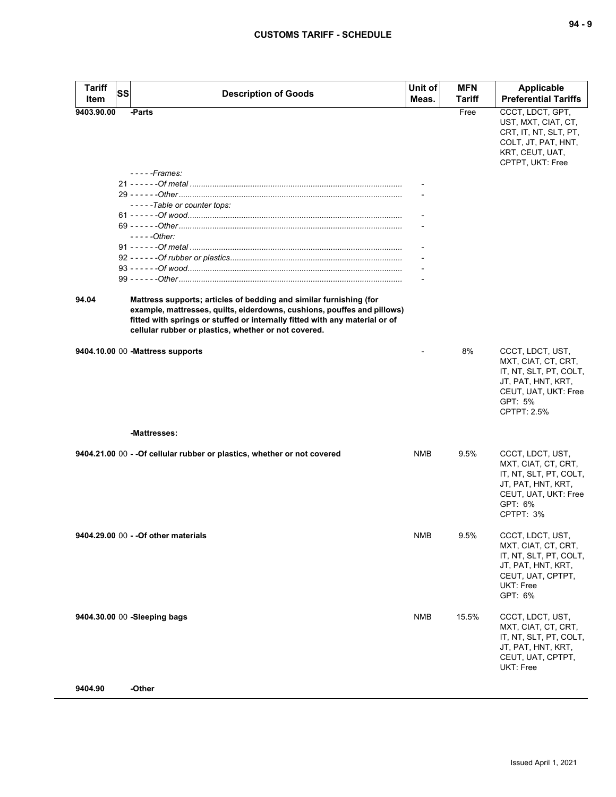| <b>Tariff</b><br>Item | <b>SS</b> | <b>Description of Goods</b>                                                                                                                                                                                                                                                          | Unit of<br>Meas. | <b>MFN</b><br><b>Tariff</b> | <b>Applicable</b><br><b>Preferential Tariffs</b>                                                                                          |
|-----------------------|-----------|--------------------------------------------------------------------------------------------------------------------------------------------------------------------------------------------------------------------------------------------------------------------------------------|------------------|-----------------------------|-------------------------------------------------------------------------------------------------------------------------------------------|
|                       |           |                                                                                                                                                                                                                                                                                      |                  |                             |                                                                                                                                           |
| 9403.90.00            |           | -Parts                                                                                                                                                                                                                                                                               |                  | Free                        | CCCT, LDCT, GPT,<br>UST, MXT, CIAT, CT,<br>CRT, IT, NT, SLT, PT,<br>COLT, JT, PAT, HNT,<br>KRT, CEUT, UAT,<br>CPTPT, UKT: Free            |
|                       |           | $---Frames$                                                                                                                                                                                                                                                                          |                  |                             |                                                                                                                                           |
|                       |           |                                                                                                                                                                                                                                                                                      |                  |                             |                                                                                                                                           |
|                       |           |                                                                                                                                                                                                                                                                                      |                  |                             |                                                                                                                                           |
|                       |           | -----Table or counter tops:                                                                                                                                                                                                                                                          |                  |                             |                                                                                                                                           |
|                       |           |                                                                                                                                                                                                                                                                                      |                  |                             |                                                                                                                                           |
|                       |           |                                                                                                                                                                                                                                                                                      |                  |                             |                                                                                                                                           |
|                       |           | $---Other:$                                                                                                                                                                                                                                                                          |                  |                             |                                                                                                                                           |
|                       |           |                                                                                                                                                                                                                                                                                      |                  |                             |                                                                                                                                           |
|                       |           |                                                                                                                                                                                                                                                                                      |                  |                             |                                                                                                                                           |
|                       |           |                                                                                                                                                                                                                                                                                      |                  |                             |                                                                                                                                           |
|                       |           |                                                                                                                                                                                                                                                                                      |                  |                             |                                                                                                                                           |
|                       |           |                                                                                                                                                                                                                                                                                      |                  |                             |                                                                                                                                           |
| 94.04                 |           | Mattress supports; articles of bedding and similar furnishing (for<br>example, mattresses, quilts, eiderdowns, cushions, pouffes and pillows)<br>fitted with springs or stuffed or internally fitted with any material or of<br>cellular rubber or plastics, whether or not covered. |                  |                             |                                                                                                                                           |
|                       |           | 9404.10.00 00 - Mattress supports                                                                                                                                                                                                                                                    |                  | 8%                          | CCCT, LDCT, UST,<br>MXT, CIAT, CT, CRT,<br>IT, NT, SLT, PT, COLT,<br>JT, PAT, HNT, KRT,<br>CEUT, UAT, UKT: Free<br>GPT: 5%<br>CPTPT: 2.5% |
|                       |           | -Mattresses:                                                                                                                                                                                                                                                                         |                  |                             |                                                                                                                                           |
|                       |           | 9404.21.00 00 - - Of cellular rubber or plastics, whether or not covered                                                                                                                                                                                                             | <b>NMB</b>       | 9.5%                        | CCCT, LDCT, UST,<br>MXT, CIAT, CT, CRT,<br>IT, NT, SLT, PT, COLT,<br>JT, PAT, HNT, KRT,<br>CEUT, UAT, UKT: Free<br>GPT: 6%<br>CPTPT: 3%   |
|                       |           | 9404.29.00 00 - - Of other materials                                                                                                                                                                                                                                                 | <b>NMB</b>       | 9.5%                        | CCCT, LDCT, UST,<br>MXT, CIAT, CT, CRT,<br>IT, NT, SLT, PT, COLT,<br>JT, PAT, HNT, KRT,<br>CEUT, UAT, CPTPT,<br>UKT: Free<br>GPT: 6%      |
|                       |           | 9404.30.00 00 -Sleeping bags                                                                                                                                                                                                                                                         | <b>NMB</b>       | 15.5%                       | CCCT, LDCT, UST,<br>MXT, CIAT, CT, CRT,<br>IT, NT, SLT, PT, COLT,<br>JT, PAT, HNT, KRT,<br>CEUT, UAT, CPTPT,<br>UKT: Free                 |
| 9404.90               |           | -Other                                                                                                                                                                                                                                                                               |                  |                             |                                                                                                                                           |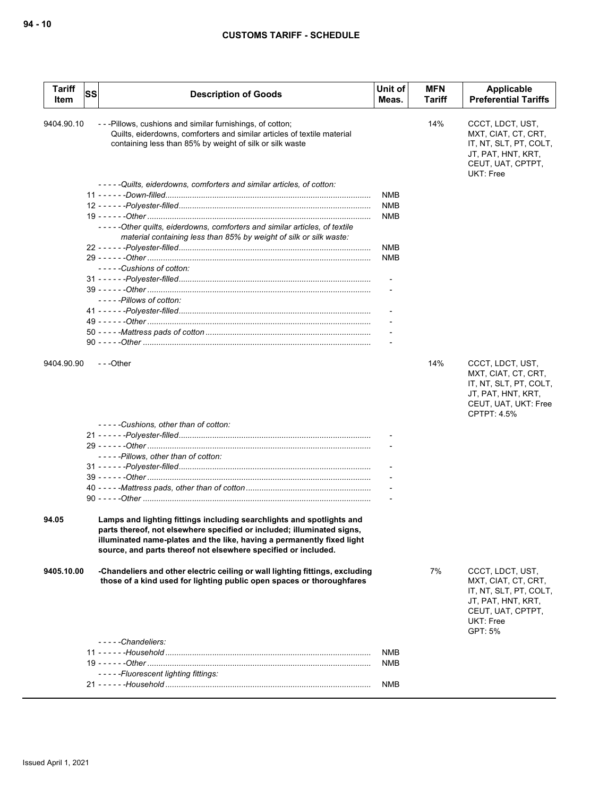| 9404.90.10<br>---Pillows, cushions and similar furnishings, of cotton;<br>14%<br>CCCT, LDCT, UST,<br>Quilts, eiderdowns, comforters and similar articles of textile material<br>MXT, CIAT, CT, CRT,<br>IT, NT, SLT, PT, COLT,<br>containing less than 85% by weight of silk or silk waste<br>JT, PAT, HNT, KRT,<br>CEUT, UAT, CPTPT,<br>UKT: Free<br>-----Quilts, eiderdowns, comforters and similar articles, of cotton:<br><b>NMB</b><br><b>NMB</b><br><b>NMB</b><br>-----Other quilts, eiderdowns, comforters and similar articles, of textile<br>material containing less than 85% by weight of silk or silk waste:<br><b>NMB</b><br><b>NMB</b><br>-----Cushions of cotton:<br>-----Pillows of cotton:<br>---Other<br>14%<br>9404.90.90<br>CCCT, LDCT, UST,<br>MXT, CIAT, CT, CRT,<br>IT, NT, SLT, PT, COLT,<br>JT, PAT, HNT, KRT,<br>CEUT, UAT, UKT: Free<br>CPTPT: 4.5%<br>-----Cushions, other than of cotton:<br>-----Pillows, other than of cotton:<br>Lamps and lighting fittings including searchlights and spotlights and<br>94.05<br>parts thereof, not elsewhere specified or included; illuminated signs,<br>illuminated name-plates and the like, having a permanently fixed light<br>source, and parts thereof not elsewhere specified or included.<br>-Chandeliers and other electric ceiling or wall lighting fittings, excluding<br>7%<br>CCCT, LDCT, UST,<br>9405.10.00<br>those of a kind used for lighting public open spaces or thoroughfares<br>MXT, CIAT, CT, CRT,<br>IT, NT, SLT, PT, COLT,<br>JT, PAT, HNT, KRT,<br>CEUT, UAT, CPTPT,<br>UKT: Free<br>GPT: 5%<br>$---Chandeliers:$<br><b>NMB</b><br>NMB<br>-----Fluorescent lighting fittings:<br><b>NMB</b> | <b>Tariff</b><br>Item | SS | <b>Description of Goods</b> | Unit of<br>Meas. | <b>MFN</b><br><b>Tariff</b> | Applicable<br><b>Preferential Tariffs</b> |
|------------------------------------------------------------------------------------------------------------------------------------------------------------------------------------------------------------------------------------------------------------------------------------------------------------------------------------------------------------------------------------------------------------------------------------------------------------------------------------------------------------------------------------------------------------------------------------------------------------------------------------------------------------------------------------------------------------------------------------------------------------------------------------------------------------------------------------------------------------------------------------------------------------------------------------------------------------------------------------------------------------------------------------------------------------------------------------------------------------------------------------------------------------------------------------------------------------------------------------------------------------------------------------------------------------------------------------------------------------------------------------------------------------------------------------------------------------------------------------------------------------------------------------------------------------------------------------------------------------------------------------------------------------------------------------------|-----------------------|----|-----------------------------|------------------|-----------------------------|-------------------------------------------|
|                                                                                                                                                                                                                                                                                                                                                                                                                                                                                                                                                                                                                                                                                                                                                                                                                                                                                                                                                                                                                                                                                                                                                                                                                                                                                                                                                                                                                                                                                                                                                                                                                                                                                          |                       |    |                             |                  |                             |                                           |
|                                                                                                                                                                                                                                                                                                                                                                                                                                                                                                                                                                                                                                                                                                                                                                                                                                                                                                                                                                                                                                                                                                                                                                                                                                                                                                                                                                                                                                                                                                                                                                                                                                                                                          |                       |    |                             |                  |                             |                                           |
|                                                                                                                                                                                                                                                                                                                                                                                                                                                                                                                                                                                                                                                                                                                                                                                                                                                                                                                                                                                                                                                                                                                                                                                                                                                                                                                                                                                                                                                                                                                                                                                                                                                                                          |                       |    |                             |                  |                             |                                           |
|                                                                                                                                                                                                                                                                                                                                                                                                                                                                                                                                                                                                                                                                                                                                                                                                                                                                                                                                                                                                                                                                                                                                                                                                                                                                                                                                                                                                                                                                                                                                                                                                                                                                                          |                       |    |                             |                  |                             |                                           |
|                                                                                                                                                                                                                                                                                                                                                                                                                                                                                                                                                                                                                                                                                                                                                                                                                                                                                                                                                                                                                                                                                                                                                                                                                                                                                                                                                                                                                                                                                                                                                                                                                                                                                          |                       |    |                             |                  |                             |                                           |
|                                                                                                                                                                                                                                                                                                                                                                                                                                                                                                                                                                                                                                                                                                                                                                                                                                                                                                                                                                                                                                                                                                                                                                                                                                                                                                                                                                                                                                                                                                                                                                                                                                                                                          |                       |    |                             |                  |                             |                                           |
|                                                                                                                                                                                                                                                                                                                                                                                                                                                                                                                                                                                                                                                                                                                                                                                                                                                                                                                                                                                                                                                                                                                                                                                                                                                                                                                                                                                                                                                                                                                                                                                                                                                                                          |                       |    |                             |                  |                             |                                           |
|                                                                                                                                                                                                                                                                                                                                                                                                                                                                                                                                                                                                                                                                                                                                                                                                                                                                                                                                                                                                                                                                                                                                                                                                                                                                                                                                                                                                                                                                                                                                                                                                                                                                                          |                       |    |                             |                  |                             |                                           |
|                                                                                                                                                                                                                                                                                                                                                                                                                                                                                                                                                                                                                                                                                                                                                                                                                                                                                                                                                                                                                                                                                                                                                                                                                                                                                                                                                                                                                                                                                                                                                                                                                                                                                          |                       |    |                             |                  |                             |                                           |
|                                                                                                                                                                                                                                                                                                                                                                                                                                                                                                                                                                                                                                                                                                                                                                                                                                                                                                                                                                                                                                                                                                                                                                                                                                                                                                                                                                                                                                                                                                                                                                                                                                                                                          |                       |    |                             |                  |                             |                                           |
|                                                                                                                                                                                                                                                                                                                                                                                                                                                                                                                                                                                                                                                                                                                                                                                                                                                                                                                                                                                                                                                                                                                                                                                                                                                                                                                                                                                                                                                                                                                                                                                                                                                                                          |                       |    |                             |                  |                             |                                           |
|                                                                                                                                                                                                                                                                                                                                                                                                                                                                                                                                                                                                                                                                                                                                                                                                                                                                                                                                                                                                                                                                                                                                                                                                                                                                                                                                                                                                                                                                                                                                                                                                                                                                                          |                       |    |                             |                  |                             |                                           |
|                                                                                                                                                                                                                                                                                                                                                                                                                                                                                                                                                                                                                                                                                                                                                                                                                                                                                                                                                                                                                                                                                                                                                                                                                                                                                                                                                                                                                                                                                                                                                                                                                                                                                          |                       |    |                             |                  |                             |                                           |
|                                                                                                                                                                                                                                                                                                                                                                                                                                                                                                                                                                                                                                                                                                                                                                                                                                                                                                                                                                                                                                                                                                                                                                                                                                                                                                                                                                                                                                                                                                                                                                                                                                                                                          |                       |    |                             |                  |                             |                                           |
|                                                                                                                                                                                                                                                                                                                                                                                                                                                                                                                                                                                                                                                                                                                                                                                                                                                                                                                                                                                                                                                                                                                                                                                                                                                                                                                                                                                                                                                                                                                                                                                                                                                                                          |                       |    |                             |                  |                             |                                           |
|                                                                                                                                                                                                                                                                                                                                                                                                                                                                                                                                                                                                                                                                                                                                                                                                                                                                                                                                                                                                                                                                                                                                                                                                                                                                                                                                                                                                                                                                                                                                                                                                                                                                                          |                       |    |                             |                  |                             |                                           |
|                                                                                                                                                                                                                                                                                                                                                                                                                                                                                                                                                                                                                                                                                                                                                                                                                                                                                                                                                                                                                                                                                                                                                                                                                                                                                                                                                                                                                                                                                                                                                                                                                                                                                          |                       |    |                             |                  |                             |                                           |
|                                                                                                                                                                                                                                                                                                                                                                                                                                                                                                                                                                                                                                                                                                                                                                                                                                                                                                                                                                                                                                                                                                                                                                                                                                                                                                                                                                                                                                                                                                                                                                                                                                                                                          |                       |    |                             |                  |                             |                                           |
|                                                                                                                                                                                                                                                                                                                                                                                                                                                                                                                                                                                                                                                                                                                                                                                                                                                                                                                                                                                                                                                                                                                                                                                                                                                                                                                                                                                                                                                                                                                                                                                                                                                                                          |                       |    |                             |                  |                             |                                           |
|                                                                                                                                                                                                                                                                                                                                                                                                                                                                                                                                                                                                                                                                                                                                                                                                                                                                                                                                                                                                                                                                                                                                                                                                                                                                                                                                                                                                                                                                                                                                                                                                                                                                                          |                       |    |                             |                  |                             |                                           |
|                                                                                                                                                                                                                                                                                                                                                                                                                                                                                                                                                                                                                                                                                                                                                                                                                                                                                                                                                                                                                                                                                                                                                                                                                                                                                                                                                                                                                                                                                                                                                                                                                                                                                          |                       |    |                             |                  |                             |                                           |
|                                                                                                                                                                                                                                                                                                                                                                                                                                                                                                                                                                                                                                                                                                                                                                                                                                                                                                                                                                                                                                                                                                                                                                                                                                                                                                                                                                                                                                                                                                                                                                                                                                                                                          |                       |    |                             |                  |                             |                                           |
|                                                                                                                                                                                                                                                                                                                                                                                                                                                                                                                                                                                                                                                                                                                                                                                                                                                                                                                                                                                                                                                                                                                                                                                                                                                                                                                                                                                                                                                                                                                                                                                                                                                                                          |                       |    |                             |                  |                             |                                           |
|                                                                                                                                                                                                                                                                                                                                                                                                                                                                                                                                                                                                                                                                                                                                                                                                                                                                                                                                                                                                                                                                                                                                                                                                                                                                                                                                                                                                                                                                                                                                                                                                                                                                                          |                       |    |                             |                  |                             |                                           |
|                                                                                                                                                                                                                                                                                                                                                                                                                                                                                                                                                                                                                                                                                                                                                                                                                                                                                                                                                                                                                                                                                                                                                                                                                                                                                                                                                                                                                                                                                                                                                                                                                                                                                          |                       |    |                             |                  |                             |                                           |
|                                                                                                                                                                                                                                                                                                                                                                                                                                                                                                                                                                                                                                                                                                                                                                                                                                                                                                                                                                                                                                                                                                                                                                                                                                                                                                                                                                                                                                                                                                                                                                                                                                                                                          |                       |    |                             |                  |                             |                                           |
|                                                                                                                                                                                                                                                                                                                                                                                                                                                                                                                                                                                                                                                                                                                                                                                                                                                                                                                                                                                                                                                                                                                                                                                                                                                                                                                                                                                                                                                                                                                                                                                                                                                                                          |                       |    |                             |                  |                             |                                           |
|                                                                                                                                                                                                                                                                                                                                                                                                                                                                                                                                                                                                                                                                                                                                                                                                                                                                                                                                                                                                                                                                                                                                                                                                                                                                                                                                                                                                                                                                                                                                                                                                                                                                                          |                       |    |                             |                  |                             |                                           |
|                                                                                                                                                                                                                                                                                                                                                                                                                                                                                                                                                                                                                                                                                                                                                                                                                                                                                                                                                                                                                                                                                                                                                                                                                                                                                                                                                                                                                                                                                                                                                                                                                                                                                          |                       |    |                             |                  |                             |                                           |
|                                                                                                                                                                                                                                                                                                                                                                                                                                                                                                                                                                                                                                                                                                                                                                                                                                                                                                                                                                                                                                                                                                                                                                                                                                                                                                                                                                                                                                                                                                                                                                                                                                                                                          |                       |    |                             |                  |                             |                                           |
|                                                                                                                                                                                                                                                                                                                                                                                                                                                                                                                                                                                                                                                                                                                                                                                                                                                                                                                                                                                                                                                                                                                                                                                                                                                                                                                                                                                                                                                                                                                                                                                                                                                                                          |                       |    |                             |                  |                             |                                           |
|                                                                                                                                                                                                                                                                                                                                                                                                                                                                                                                                                                                                                                                                                                                                                                                                                                                                                                                                                                                                                                                                                                                                                                                                                                                                                                                                                                                                                                                                                                                                                                                                                                                                                          |                       |    |                             |                  |                             |                                           |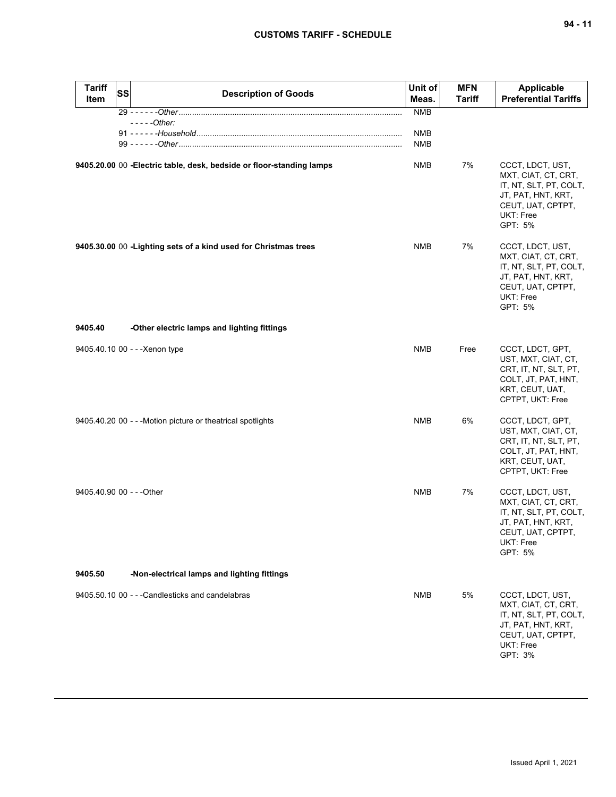| <b>Tariff</b><br>Item     | <b>SS</b> | <b>Description of Goods</b>                                           | Unit of<br>Meas.         | <b>MFN</b><br><b>Tariff</b> | <b>Applicable</b><br><b>Preferential Tariffs</b>                                                                                     |
|---------------------------|-----------|-----------------------------------------------------------------------|--------------------------|-----------------------------|--------------------------------------------------------------------------------------------------------------------------------------|
|                           |           |                                                                       | <b>NMB</b>               |                             |                                                                                                                                      |
|                           |           | $---Other:$                                                           |                          |                             |                                                                                                                                      |
|                           |           |                                                                       | <b>NMB</b><br><b>NMB</b> |                             |                                                                                                                                      |
|                           |           |                                                                       |                          |                             |                                                                                                                                      |
|                           |           | 9405.20.00 00 - Electric table, desk, bedside or floor-standing lamps | NMB                      | 7%                          | CCCT, LDCT, UST,<br>MXT, CIAT, CT, CRT,<br>IT, NT, SLT, PT, COLT,<br>JT, PAT, HNT, KRT,<br>CEUT, UAT, CPTPT,<br>UKT: Free<br>GPT: 5% |
|                           |           | 9405.30.00 00 - Lighting sets of a kind used for Christmas trees      | <b>NMB</b>               | 7%                          | CCCT, LDCT, UST,<br>MXT, CIAT, CT, CRT,<br>IT, NT, SLT, PT, COLT,<br>JT, PAT, HNT, KRT,<br>CEUT, UAT, CPTPT,<br>UKT: Free<br>GPT: 5% |
| 9405.40                   |           | -Other electric lamps and lighting fittings                           |                          |                             |                                                                                                                                      |
|                           |           | 9405.40.10 00 - - - Xenon type                                        | <b>NMB</b>               | Free                        | CCCT, LDCT, GPT,<br>UST, MXT, CIAT, CT,<br>CRT, IT, NT, SLT, PT,<br>COLT, JT, PAT, HNT,<br>KRT, CEUT, UAT,<br>CPTPT, UKT: Free       |
|                           |           | 9405.40.20 00 - - - Motion picture or theatrical spotlights           | <b>NMB</b>               | 6%                          | CCCT, LDCT, GPT,<br>UST, MXT, CIAT, CT,<br>CRT, IT, NT, SLT, PT,<br>COLT, JT, PAT, HNT,<br>KRT, CEUT, UAT,<br>CPTPT, UKT: Free       |
| 9405.40.90 00 - - - Other |           |                                                                       | <b>NMB</b>               | 7%                          | CCCT, LDCT, UST,<br>MXT, CIAT, CT, CRT,<br>IT, NT, SLT, PT, COLT,<br>JT, PAT, HNT, KRT,<br>CEUT, UAT, CPTPT,<br>UKT: Free<br>GPT: 5% |
| 9405.50                   |           | -Non-electrical lamps and lighting fittings                           |                          |                             |                                                                                                                                      |
|                           |           | 9405.50.10 00 - - - Candlesticks and candelabras                      | <b>NMB</b>               | 5%                          | CCCT, LDCT, UST,<br>MXT, CIAT, CT, CRT,<br>IT, NT, SLT, PT, COLT,<br>JT, PAT, HNT, KRT,<br>CEUT, UAT, CPTPT,<br>UKT: Free<br>GPT: 3% |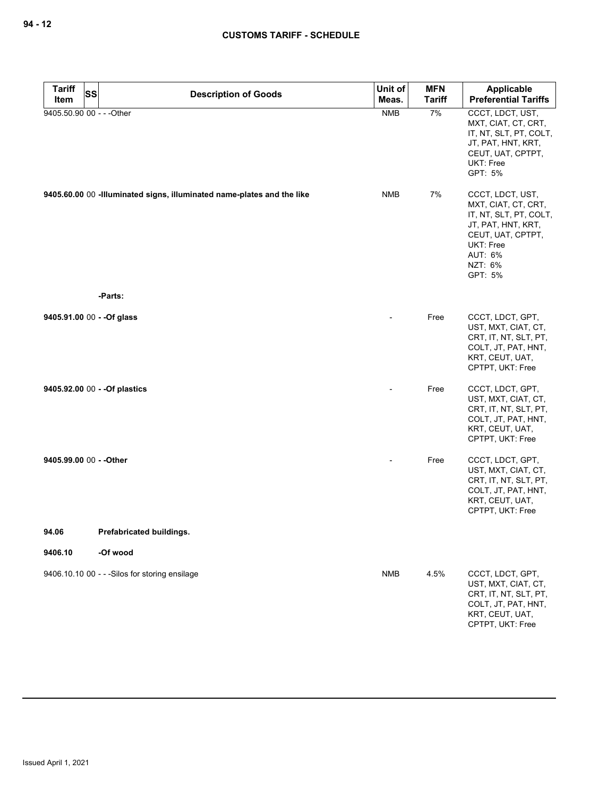| <b>Tariff</b>             | <b>SS</b><br><b>Description of Goods</b>                                | Unit of    | <b>MFN</b>    | Applicable                                                                                                                                                 |
|---------------------------|-------------------------------------------------------------------------|------------|---------------|------------------------------------------------------------------------------------------------------------------------------------------------------------|
| Item                      |                                                                         | Meas.      | <b>Tariff</b> | <b>Preferential Tariffs</b>                                                                                                                                |
| 9405.50.90 00 - - - Other |                                                                         | <b>NMB</b> | 7%            | CCCT, LDCT, UST,<br>MXT, CIAT, CT, CRT,<br>IT, NT, SLT, PT, COLT,<br>JT, PAT, HNT, KRT,<br>CEUT, UAT, CPTPT,<br>UKT: Free<br>GPT: 5%                       |
|                           | 9405.60.00 00 - Illuminated signs, illuminated name-plates and the like | <b>NMB</b> | 7%            | CCCT, LDCT, UST,<br>MXT, CIAT, CT, CRT,<br>IT, NT, SLT, PT, COLT,<br>JT, PAT, HNT, KRT,<br>CEUT, UAT, CPTPT,<br>UKT: Free<br>AUT: 6%<br>NZT: 6%<br>GPT: 5% |
|                           | -Parts:                                                                 |            |               |                                                                                                                                                            |
|                           | 9405.91.00 00 - - Of glass                                              |            | Free          | CCCT, LDCT, GPT,<br>UST, MXT, CIAT, CT,<br>CRT, IT, NT, SLT, PT,<br>COLT, JT, PAT, HNT,<br>KRT, CEUT, UAT,<br>CPTPT, UKT: Free                             |
|                           | 9405.92.00 00 - - Of plastics                                           |            | Free          | CCCT, LDCT, GPT,<br>UST, MXT, CIAT, CT,<br>CRT, IT, NT, SLT, PT,<br>COLT, JT, PAT, HNT,<br>KRT, CEUT, UAT,<br>CPTPT, UKT: Free                             |
| 9405.99.00 00 - - Other   |                                                                         |            | Free          | CCCT, LDCT, GPT,<br>UST, MXT, CIAT, CT,<br>CRT, IT, NT, SLT, PT,<br>COLT, JT, PAT, HNT,<br>KRT, CEUT, UAT,<br>CPTPT, UKT: Free                             |
| 94.06                     | Prefabricated buildings.                                                |            |               |                                                                                                                                                            |
| 9406.10                   | -Of wood                                                                |            |               |                                                                                                                                                            |
|                           | 9406.10.10 00 - - - Silos for storing ensilage                          | <b>NMB</b> | 4.5%          | CCCT, LDCT, GPT,<br>UST, MXT, CIAT, CT,<br>CRT, IT, NT, SLT, PT,<br>COLT, JT, PAT, HNT,<br>KRT, CEUT, UAT,<br>CPTPT, UKT: Free                             |